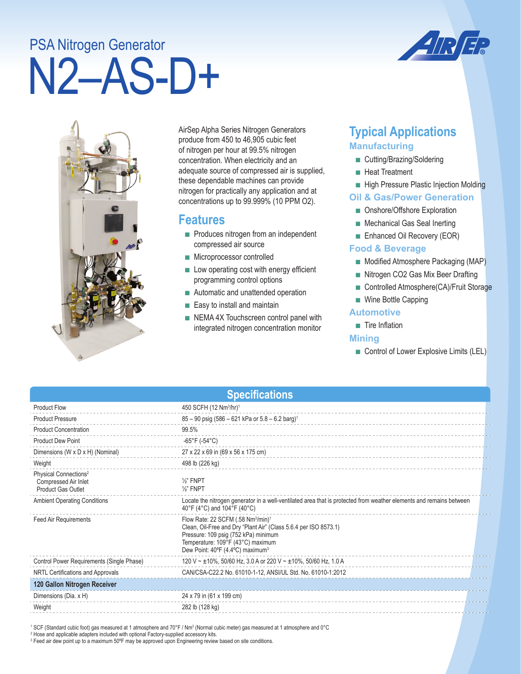# N2–AS-D+ PSA Nitrogen Generator



AirSep Alpha Series Nitrogen Generators produce from 450 to 46,905 cubic feet of nitrogen per hour at 99.5% nitrogen concentration. When electricity and an adequate source of compressed air is supplied, these dependable machines can provide nitrogen for practically any application and at concentrations up to 99.999% (10 PPM O2).

## **Features**

- Produces nitrogen from an independent compressed air source
- Microprocessor controlled
- Low operating cost with energy efficient programming control options
- Automatic and unattended operation
- Easy to install and maintain
- NEMA 4X Touchscreen control panel with integrated nitrogen concentration monitor

# **Typical Applications Manufacturing**

- Cutting/Brazing/Soldering
- Heat Treatment
- High Pressure Plastic Injection Molding

#### **Oil & Gas/Power Generation**

- Onshore/Offshore Exploration
- Mechanical Gas Seal Inerting
- Enhanced Oil Recovery (EOR)

#### **Food & Beverage**

- Modified Atmosphere Packaging (MAP)
- Nitrogen CO2 Gas Mix Beer Drafting
- Controlled Atmosphere(CA)/Fruit Storage
- Wine Bottle Capping

#### **Automotive**

■ Tire Inflation

#### **Mining**

■ Control of Lower Explosive Limits (LEL)

| <b>Specifications</b>                                                                  |                                                                                                                                                                                                                                                             |  |  |
|----------------------------------------------------------------------------------------|-------------------------------------------------------------------------------------------------------------------------------------------------------------------------------------------------------------------------------------------------------------|--|--|
| <b>Product Flow</b>                                                                    | 450 SCFH (12 Nm <sup>3</sup> /hr) <sup>1</sup>                                                                                                                                                                                                              |  |  |
| <b>Product Pressure</b>                                                                | $85 - 90$ psig (586 - 621 kPa or $5.8 - 6.2$ barg) <sup>1</sup>                                                                                                                                                                                             |  |  |
| <b>Product Concentration</b>                                                           | 99.5%                                                                                                                                                                                                                                                       |  |  |
| <b>Product Dew Point</b>                                                               | -65°F (-54°C)                                                                                                                                                                                                                                               |  |  |
| Dimensions (W x D x H) (Nominal)                                                       | 27 x 22 x 69 in (69 x 56 x 175 cm)                                                                                                                                                                                                                          |  |  |
| Weight                                                                                 | 498 lb (226 kg)                                                                                                                                                                                                                                             |  |  |
| Physical Connections <sup>2</sup><br>Compressed Air Inlet<br><b>Product Gas Outlet</b> | $\frac{1}{2}$ FNPT<br>$\frac{1}{2}$ " FNPT                                                                                                                                                                                                                  |  |  |
| <b>Ambient Operating Conditions</b>                                                    | Locate the nitrogen generator in a well-ventilated area that is protected from weather elements and remains between<br>40°F (4°C) and 104°F (40°C)                                                                                                          |  |  |
| <b>Feed Air Requirements</b>                                                           | Flow Rate: 22 SCFM (.58 Nm <sup>3</sup> /min) <sup>1</sup><br>Clean, Oil-Free and Dry "Plant Air" (Class 5.6.4 per ISO 8573.1)<br>Pressure: 109 psig (752 kPa) minimum<br>Temperature: 109°F (43°C) maximum<br>Dew Point: 40°F (4.4°C) maximum <sup>3</sup> |  |  |
| Control Power Requirements (Single Phase)                                              | 120 V ~ ±10%, 50/60 Hz, 3.0 A or 220 V ~ ±10%, 50/60 Hz, 1.0 A                                                                                                                                                                                              |  |  |
| NRTL Certifications and Approvals                                                      | CAN/CSA-C22.2 No. 61010-1-12, ANSI/UL Std. No. 61010-1:2012                                                                                                                                                                                                 |  |  |
| 120 Gallon Nitrogen Receiver                                                           |                                                                                                                                                                                                                                                             |  |  |
| Dimensions (Dia. x H)                                                                  | 24 x 79 in (61 x 199 cm)                                                                                                                                                                                                                                    |  |  |
| Weight                                                                                 | 282 lb (128 kg)                                                                                                                                                                                                                                             |  |  |
|                                                                                        |                                                                                                                                                                                                                                                             |  |  |

' SCF (Standard cubic foot) gas measured at 1 atmosphere and 70°F / Nm3 (Normal cubic meter) gas measured at 1 atmosphere and 0°C<br><sup>2</sup> Hose and applicable adapters included with optional Factory-supplied accessory kits.

3 Feed air dew point up to a maximum 50ºF may be approved upon Engineering review based on site conditions.